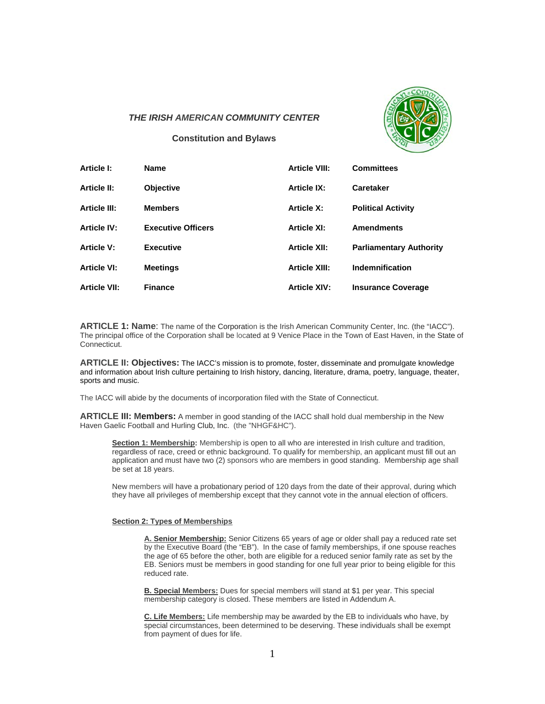

## *THE IRISH AMERICAN COMMUNITY CENTER*

**Constitution and Bylaws** 

| Article I:          | <b>Name</b>               | <b>Article VIII:</b> | <b>Committees</b>              |
|---------------------|---------------------------|----------------------|--------------------------------|
| <b>Article II:</b>  | <b>Objective</b>          | <b>Article IX:</b>   | <b>Caretaker</b>               |
| <b>Article III:</b> | <b>Members</b>            | <b>Article X:</b>    | <b>Political Activity</b>      |
| <b>Article IV:</b>  | <b>Executive Officers</b> | <b>Article XI:</b>   | <b>Amendments</b>              |
| <b>Article V:</b>   | <b>Executive</b>          | <b>Article XII:</b>  | <b>Parliamentary Authority</b> |
| <b>Article VI:</b>  | <b>Meetings</b>           | <b>Article XIII:</b> | <b>Indemnification</b>         |
| <b>Article VII:</b> | <b>Finance</b>            | <b>Article XIV:</b>  | <b>Insurance Coverage</b>      |

**ARTICLE 1: Name**: The name of the Corporation is the Irish American Community Center, Inc. (the "IACC"). The principal office of the Corporation shall be located at 9 Venice Place in the Town of East Haven, in the State of Connecticut.

**ARTICLE II: Objectives:** The IACC's mission is to promote, foster, disseminate and promulgate knowledge and information about Irish culture pertaining to Irish history, dancing, literature, drama, poetry, language, theater, sports and music.

The IACC will abide by the documents of incorporation filed with the State of Connecticut.

**ARTICLE III: Members:** A member in good standing of the IACC shall hold dual membership in the New Haven Gaelic Football and Hurling Club, Inc. (the "NHGF&HC").

**Section 1: Membership:** Membership is open to all who are interested in Irish culture and tradition, regardless of race, creed or ethnic background. To qualify for membership, an applicant must fill out an application and must have two (2) sponsors who are members in good standing. Membership age shall be set at 18 years.

New members will have a probationary period of 120 days from the date of their approval, during which they have all privileges of membership except that they cannot vote in the annual election of officers.

#### **Section 2: Types of Memberships**

**A. Senior Membership:** Senior Citizens 65 years of age or older shall pay a reduced rate set by the Executive Board (the "EB"). In the case of family memberships, if one spouse reaches the age of 65 before the other, both are eligible for a reduced senior family rate as set by the EB. Seniors must be members in good standing for one full year prior to being eligible for this reduced rate.

**B. Special Members:** Dues for special members will stand at \$1 per year. This special membership category is closed. These members are listed in Addendum A.

**C. Life Members:** Life membership may be awarded by the EB to individuals who have, by special circumstances, been determined to be deserving. These individuals shall be exempt from payment of dues for life.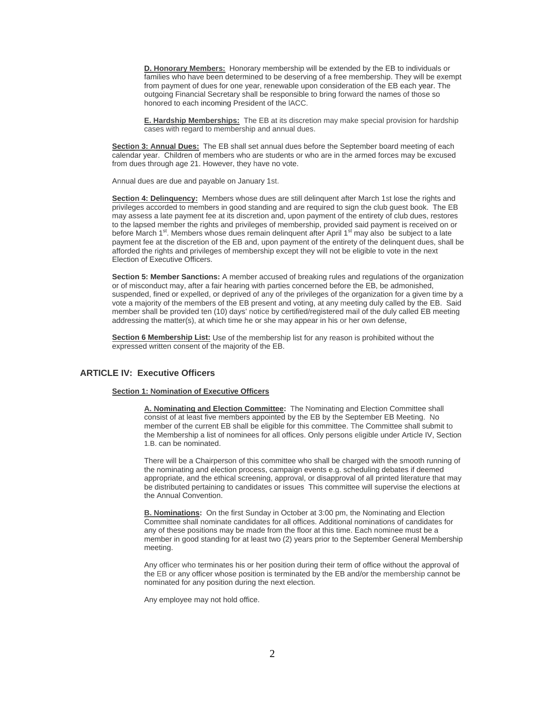**D. Honorary Members:** Honorary membership will be extended by the EB to individuals or families who have been determined to be deserving of a free membership. They will be exempt from payment of dues for one year, renewable upon consideration of the EB each year. The outgoing Financial Secretary shall be responsible to bring forward the names of those so honored to each incoming President of the lACC.

**E. Hardship Memberships:** The EB at its discretion may make special provision for hardship cases with regard to membership and annual dues.

**Section 3: Annual Dues:** The EB shall set annual dues before the September board meeting of each calendar year. Children of members who are students or who are in the armed forces may be excused from dues through age 21. However, they have no vote.

Annual dues are due and payable on January 1st.

**Section 4: Delinquency:** Members whose dues are still delinquent after March 1st lose the rights and privileges accorded to members in good standing and are required to sign the club guest book. The EB may assess a late payment fee at its discretion and, upon payment of the entirety of club dues, restores to the lapsed member the rights and privileges of membership, provided said payment is received on or before March 1<sup>st</sup>. Members whose dues remain delinquent after April 1<sup>st</sup> may also be subject to a late payment fee at the discretion of the EB and, upon payment of the entirety of the delinquent dues, shall be afforded the rights and privileges of membership except they will not be eligible to vote in the next Election of Executive Officers.

**Section 5: Member Sanctions:** A member accused of breaking rules and regulations of the organization or of misconduct may, after a fair hearing with parties concerned before the EB, be admonished, suspended, fined or expelled, or deprived of any of the privileges of the organization for a given time by a vote a majority of the members of the EB present and voting, at any meeting duly called by the EB. Said member shall be provided ten (10) days' notice by certified/registered mail of the duly called EB meeting addressing the matter(s), at which time he or she may appear in his or her own defense,

**Section 6 Membership List:** Use of the membership list for any reason is prohibited without the expressed written consent of the majority of the EB.

## **ARTICLE IV: Executive Officers**

#### **Section 1: Nomination of Executive Officers**

**A. Nominating and Election Committee:** The Nominating and Election Committee shall consist of at least five members appointed by the EB by the September EB Meeting. No member of the current EB shall be eligible for this committee. The Committee shall submit to the Membership a list of nominees for all offices. Only persons eligible under Article IV, Section 1.B. can be nominated.

There will be a Chairperson of this committee who shall be charged with the smooth running of the nominating and election process, campaign events e.g. scheduling debates if deemed appropriate, and the ethical screening, approval, or disapproval of all printed literature that may be distributed pertaining to candidates or issues This committee will supervise the elections at the Annual Convention.

**B. Nominations:** On the first Sunday in October at 3:00 pm, the Nominating and Election Committee shall nominate candidates for all offices. Additional nominations of candidates for any of these positions may be made from the floor at this time. Each nominee must be a member in good standing for at least two (2) years prior to the September General Membership meeting.

Any officer who terminates his or her position during their term of office without the approval of the EB or any officer whose position is terminated by the EB and/or the membership cannot be nominated for any position during the next election.

Any employee may not hold office.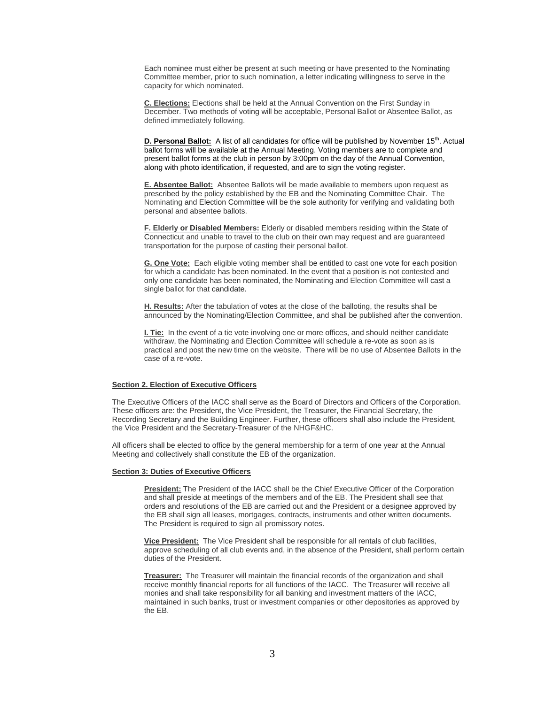Each nominee must either be present at such meeting or have presented to the Nominating Committee member, prior to such nomination, a letter indicating willingness to serve in the capacity for which nominated.

**C. Elections:** Elections shall be held at the Annual Convention on the First Sunday in December. Two methods of voting will be acceptable, Personal Ballot or Absentee Ballot, as defined immediately following.

**D. Personal Ballot:** A list of all candidates for office will be published by November 15<sup>th</sup>. Actual ballot forms will be available at the Annual Meeting. Voting members are to complete and present ballot forms at the club in person by 3:00pm on the day of the Annual Convention, along with photo identification, if requested, and are to sign the voting register.

**E. Absentee Ballot:** Absentee Ballots will be made available to members upon request as prescribed by the policy established by the EB and the Nominating Committee Chair. The Nominating and Election Committee will be the sole authority for verifying and validating both personal and absentee ballots.

**F. Elderly or Disabled Members:** Elderly or disabled members residing within the State of Connecticut and unable to travel to the club on their own may request and are guaranteed transportation for the purpose of casting their personal ballot.

**G. One Vote:** Each eligible voting member shall be entitled to cast one vote for each position for which a candidate has been nominated. In the event that a position is not contested and only one candidate has been nominated, the Nominating and Election Committee will cast a single ballot for that candidate.

**H. Results:** After the tabulation of votes at the close of the balloting, the results shall be announced by the Nominating/Election Committee, and shall be published after the convention.

**I. Tie:** In the event of a tie vote involving one or more offices, and should neither candidate withdraw, the Nominating and Election Committee will schedule a re-vote as soon as is practical and post the new time on the website. There will be no use of Absentee Ballots in the case of a re-vote.

#### **Section 2. Election of Executive Officers**

The Executive Officers of the IACC shall serve as the Board of Directors and Officers of the Corporation. These officers are: the President, the Vice President, the Treasurer, the Financial Secretary, the Recording Secretary and the Building Engineer. Further, these officers shall also include the President, the Vice President and the Secretary-Treasurer of the NHGF&HC.

All officers shall be elected to office by the general membership for a term of one year at the Annual Meeting and collectively shall constitute the EB of the organization.

#### **Section 3: Duties of Executive Officers**

**President:** The President of the IACC shall be the Chief Executive Officer of the Corporation and shall preside at meetings of the members and of the EB. The President shall see that orders and resolutions of the EB are carried out and the President or a designee approved by the EB shall sign all leases, mortgages, contracts, instruments and other written documents. The President is required to sign all promissory notes.

**Vice President:** The Vice President shall be responsible for all rentals of club facilities, approve scheduling of all club events and, in the absence of the President, shall perform certain duties of the President.

**Treasurer:** The Treasurer will maintain the financial records of the organization and shall receive monthly financial reports for all functions of the IACC. The Treasurer will receive all monies and shall take responsibility for all banking and investment matters of the IACC, maintained in such banks, trust or investment companies or other depositories as approved by the EB.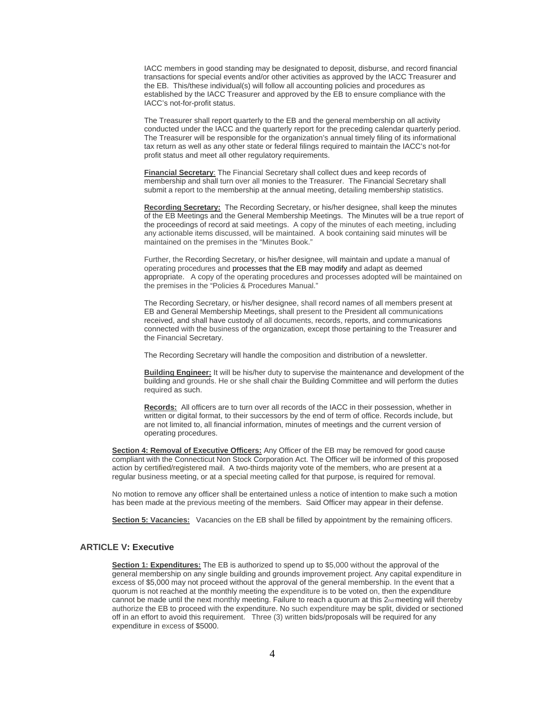IACC members in good standing may be designated to deposit, disburse, and record financial transactions for special events and/or other activities as approved by the IACC Treasurer and the EB. This/these individual(s) will follow all accounting policies and procedures as established by the IACC Treasurer and approved by the EB to ensure compliance with the IACC's not-for-profit status.

The Treasurer shall report quarterly to the EB and the general membership on all activity conducted under the IACC and the quarterly report for the preceding calendar quarterly period. The Treasurer will be responsible for the organization's annual timely filing of its informational tax return as well as any other state or federal filings required to maintain the IACC's not-for profit status and meet all other regulatory requirements.

**Financial Secretary**: The Financial Secretary shall collect dues and keep records of membership and shall turn over all monies to the Treasurer. The Financial Secretary shall submit a report to the membership at the annual meeting, detailing membership statistics.

**Recording Secretary:** The Recording Secretary, or his/her designee, shall keep the minutes of the EB Meetings and the General Membership Meetings. The Minutes will be a true report of the proceedings of record at said meetings. A copy of the minutes of each meeting, including any actionable items discussed, will be maintained. A book containing said minutes will be maintained on the premises in the "Minutes Book."

Further, the Recording Secretary, or his/her designee, will maintain and update a manual of operating procedures and processes that the EB may modify and adapt as deemed appropriate. A copy of the operating procedures and processes adopted will be maintained on the premises in the "Policies & Procedures Manual."

The Recording Secretary, or his/her designee, shall record names of all members present at EB and General Membership Meetings, shall present to the President all communications received, and shall have custody of all documents, records, reports, and communications connected with the business of the organization, except those pertaining to the Treasurer and the Financial Secretary.

The Recording Secretary will handle the composition and distribution of a newsletter.

**Building Engineer:** It will be his/her duty to supervise the maintenance and development of the building and grounds. He or she shall chair the Building Committee and will perform the duties required as such.

**Records:** All officers are to turn over all records of the IACC in their possession, whether in written or digital format, to their successors by the end of term of office. Records include, but are not limited to, all financial information, minutes of meetings and the current version of operating procedures.

**Section 4: Removal of Executive Officers:** Any Officer of the EB may be removed for good cause compliant with the Connecticut Non Stock Corporation Act. The Officer will be informed of this proposed action by certified/registered mail. A two-thirds majority vote of the members, who are present at a regular business meeting, or at a special meeting called for that purpose, is required for removal.

No motion to remove any officer shall be entertained unless a notice of intention to make such a motion has been made at the previous meeting of the members. Said Officer may appear in their defense.

**Section 5: Vacancies:** Vacancies on the EB shall be filled by appointment by the remaining officers.

## **ARTICLE V: Executive**

**Section 1: Expenditures:** The EB is authorized to spend up to \$5,000 without the approval of the general membership on any single building and grounds improvement project. Any capital expenditure in excess of \$5,000 may not proceed without the approval of the general membership. In the event that a quorum is not reached at the monthly meeting the expenditure is to be voted on, then the expenditure cannot be made until the next monthly meeting. Failure to reach a quorum at this 2nd meeting will thereby authorize the EB to proceed with the expenditure. No such expenditure may be split, divided or sectioned off in an effort to avoid this requirement. Three (3) written bids/proposals will be required for any expenditure in excess of \$5000.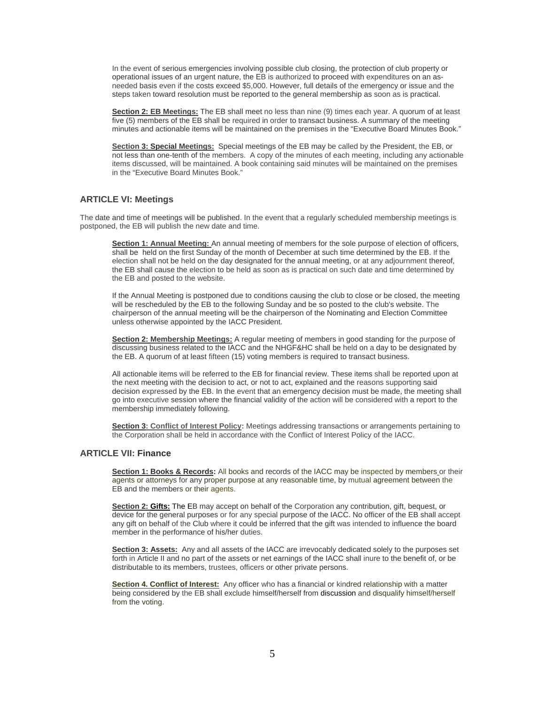In the event of serious emergencies involving possible club closing, the protection of club property or operational issues of an urgent nature, the EB is authorized to proceed with expenditures on an asneeded basis even if the costs exceed \$5,000. However, full details of the emergency or issue and the steps taken toward resolution must be reported to the general membership as soon as is practical.

**Section 2: EB Meetings:** The EB shall meet no less than nine (9) times each year. A quorum of at least five (5) members of the EB shall be required in order to transact business. A summary of the meeting minutes and actionable items will be maintained on the premises in the "Executive Board Minutes Book."

**Section 3: Special Meetings:** Special meetings of the EB may be called by the President, the EB, or not less than one-tenth of the members. A copy of the minutes of each meeting, including any actionable items discussed, will be maintained. A book containing said minutes will be maintained on the premises in the "Executive Board Minutes Book."

## **ARTICLE VI: Meetings**

The date and time of meetings will be published. In the event that a regularly scheduled membership meetings is postponed, the EB will publish the new date and time.

**Section 1: Annual Meeting:** An annual meeting of members for the sole purpose of election of officers, shall be held on the first Sunday of the month of December at such time determined by the EB. If the election shall not be held on the day designated for the annual meeting, or at any adjournment thereof, the EB shall cause the election to be held as soon as is practical on such date and time determined by the EB and posted to the website.

If the Annual Meeting is postponed due to conditions causing the club to close or be closed, the meeting will be rescheduled by the EB to the following Sunday and be so posted to the club's website. The chairperson of the annual meeting will be the chairperson of the Nominating and Election Committee unless otherwise appointed by the IACC President.

**Section 2: Membership Meetings:** A regular meeting of members in good standing for the purpose of discussing business related to the IACC and the NHGF&HC shall be held on a day to be designated by the EB. A quorum of at least fifteen (15) voting members is required to transact business.

All actionable items will be referred to the EB for financial review. These items shall be reported upon at the next meeting with the decision to act, or not to act, explained and the reasons supporting said decision expressed by the EB. In the event that an emergency decision must be made, the meeting shall go into executive session where the financial validity of the action will be considered with a report to the membership immediately following.

**Section 3: Conflict of Interest Policy:** Meetings addressing transactions or arrangements pertaining to the Corporation shall be held in accordance with the Conflict of Interest Policy of the IACC.

## **ARTICLE VII: Finance**

**Section 1: Books & Records:** All books and records of the IACC may be inspected by members or their agents or attorneys for any proper purpose at any reasonable time, by mutual agreement between the EB and the members or their agents.

**Section 2: Gifts:** The EB may accept on behalf of the Corporation any contribution, gift, bequest, or device for the general purposes or for any special purpose of the IACC. No officer of the EB shall accept any gift on behalf of the Club where it could be inferred that the gift was intended to influence the board member in the performance of his/her duties.

**Section 3: Assets:** Any and all assets of the IACC are irrevocably dedicated solely to the purposes set forth in Article II and no part of the assets or net earnings of the IACC shall inure to the benefit of, or be distributable to its members, trustees, officers or other private persons.

**Section 4. Conflict of Interest:** Any officer who has a financial or kindred relationship with a matter being considered by the EB shall exclude himself/herself from discussion and disqualify himself/herself from the voting.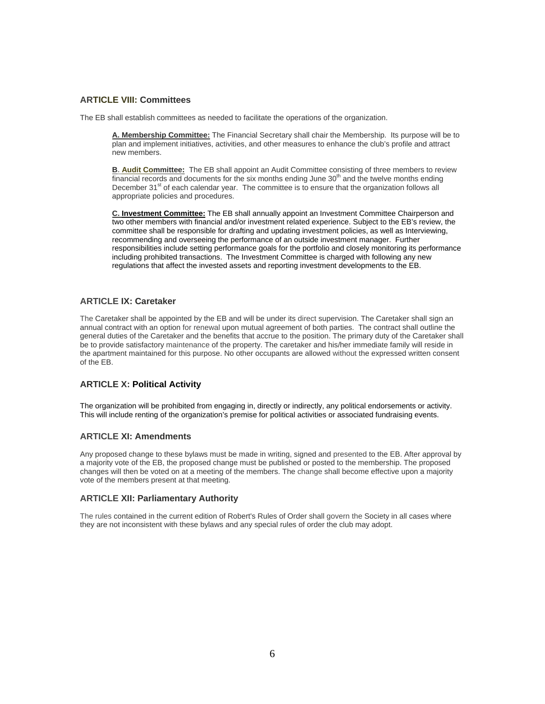# **ARTICLE VIII: Committees**

The EB shall establish committees as needed to facilitate the operations of the organization.

**A. Membership Committee:** The Financial Secretary shall chair the Membership. Its purpose will be to plan and implement initiatives, activities, and other measures to enhance the club's profile and attract new members.

**B. Audit Committee:** The EB shall appoint an Audit Committee consisting of three members to review financial records and documents for the six months ending June  $30<sup>th</sup>$  and the twelve months ending December 31<sup>st</sup> of each calendar year. The committee is to ensure that the organization follows all appropriate policies and procedures.

**C. Investment Committee:** The EB shall annually appoint an Investment Committee Chairperson and two other members with financial and/or investment related experience. Subject to the EB's review, the committee shall be responsible for drafting and updating investment policies, as well as Interviewing, recommending and overseeing the performance of an outside investment manager. Further responsibilities include setting performance goals for the portfolio and closely monitoring its performance including prohibited transactions. The Investment Committee is charged with following any new regulations that affect the invested assets and reporting investment developments to the EB.

# **ARTICLE IX: Caretaker**

The Caretaker shall be appointed by the EB and will be under its direct supervision. The Caretaker shall sign an annual contract with an option for renewal upon mutual agreement of both parties. The contract shall outline the general duties of the Caretaker and the benefits that accrue to the position. The primary duty of the Caretaker shall be to provide satisfactory maintenance of the property. The caretaker and his/her immediate family will reside in the apartment maintained for this purpose. No other occupants are allowed without the expressed written consent of the EB.

# **ARTICLE X: Political Activity**

The organization will be prohibited from engaging in, directly or indirectly, any political endorsements or activity. This will include renting of the organization's premise for political activities or associated fundraising events.

### **ARTICLE XI: Amendments**

Any proposed change to these bylaws must be made in writing, signed and presented to the EB. After approval by a majority vote of the EB, the proposed change must be published or posted to the membership. The proposed changes will then be voted on at a meeting of the members. The change shall become effective upon a majority vote of the members present at that meeting.

### **ARTICLE XII: Parliamentary Authority**

The rules contained in the current edition of Robert's Rules of Order shall govern the Society in all cases where they are not inconsistent with these bylaws and any special rules of order the club may adopt.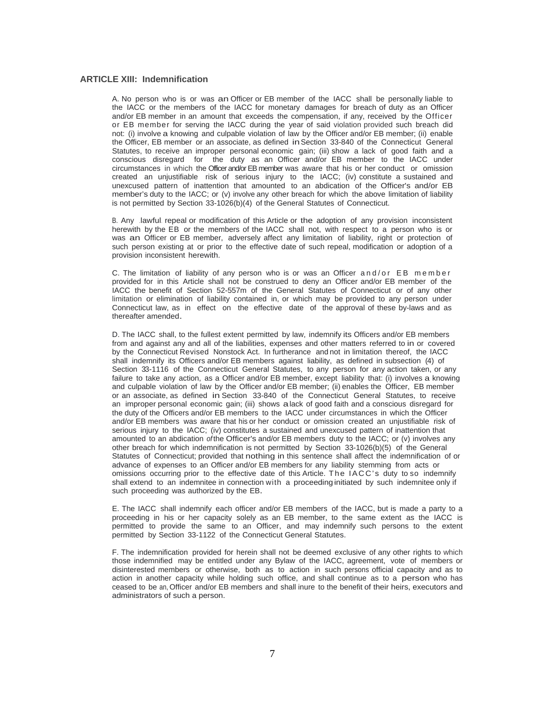## **ARTICLE XIII: Indemnification**

A. No person who is or was an Officer or EB member of the IACC shall be personally liable to the IACC or the members of the IACC for monetary damages for breach of duty as an Officer and/or EB member in an amount that exceeds the compensation, if any, received by the Officer or EB member for serving the IACC during the year of said violation provided such breach did not: (i) involve a knowing and culpable violation of law by the Officer and/or EB member; (ii) enable the Officer, EB member or an associate, as defined in Section 33-840 of the Connecticut General Statutes, to receive an improper personal economic gain; (iii) show a lack of good faith and a conscious disregard for the duty as an Officer and/or EB member to the IACC under circumstances in which the Officer and/or EB member was aware that his or her conduct or omission created an unjustifiable risk of serious injury to the IACC; (iv) constitute a sustained and unexcused pattern of inattention that amounted to an abdication of the Officer's and/or EB member's duty to the IACC; or (v) involve any other breach for which the above limitation of liability is not permitted by Section 33-1026(b)(4) of the General Statutes of Connecticut.

B. Any .lawful. repeal or modification of this Article or the adoption of any provision inconsistent herewith by the EB or the members of the IACC shall not, with respect to a person who is or was an Officer or EB member, adversely affect any limitation of liability, right or protection of such person existing at or prior to the effective date of such repeal, modification or adoption of a provision inconsistent herewith.

C. The limitation of liability of any person who is or was an Officer and/or EB member provided for in this Article shall not be construed to deny an Officer and/or EB member of the IACC the benefit of Section 52-557m of the General Statutes of Connecticut or of any other limitation or elimination of liability contained in, or which may be provided to any person under Connecticut law, as in effect on the effective date of the approval of these by-laws and as thereafter amended.

D. The IACC shall, to the fullest extent permitted by law, indemnify its Officers and/or EB members from and against any and all of the liabilities, expenses and other matters referred to in or covered by the Connecticut Revised Nonstock Act. In furtherance and not in limitation thereof, the IACC shall indemnify its Officers and/or EB members against liability, as defined in subsection (4) of Section 33-1116 of the Connecticut General Statutes, to any person for any action taken, or any failure to take any action, as a Officer and/or EB member, except liability that: (i) involves a knowing and culpable violation of law by the Officer and/or EB member; (ii) enables the Officer, EB member or an associate, as defined in Section 33-840 of the Connecticut General Statutes, to receive an improper personal economic gain; (iii) shows a lack of good faith and a conscious disregard for the duty of the Officers and/or EB members to the IACC under circumstances in which the Officer and/or EB members was aware that his or her conduct or omission created an unjustifiable risk of serious injury to the IACC; (iv) constitutes a sustained and unexcused pattern of inattention that amounted to an abdication *of* the Officer's and/or EB members duty to the IACC; or (v) involves any other breach for which indemnification is not permitted by Section 33-1026(b)(5) of the General Statutes of Connecticut; provided that nothing in this sentence shall affect the indemnification of or advance of expenses to an Officer and/or EB members for any liability stemming from acts or omissions occurring prior to the effective date of this Article. The IACC's duty to so indemnify shall extend to an indemnitee in connection with a proceeding initiated by such indemnitee only if such proceeding was authorized by the EB.

E. The IACC shall indemnify each officer and/or EB members of the IACC, but is made a party to a proceeding in his or her capacity solely as an EB member, to the same extent as the IACC is permitted to provide the same to an Officer, and may indemnify such persons to the extent permitted by Section 33-1122 of the Connecticut General Statutes.

F. The indemnification provided for herein shall not be deemed exclusive of any other rights to which those indemnified may be entitled under any Bylaw of the IACC, agreement, vote of members or disinterested members or otherwise, both as to action in such persons official capacity and as to action in another capacity while holding such office, and shall continue as to a person who has ceased to be an, Officer and/or EB members and shall inure to the benefit of their heirs, executors and administrators of such a person.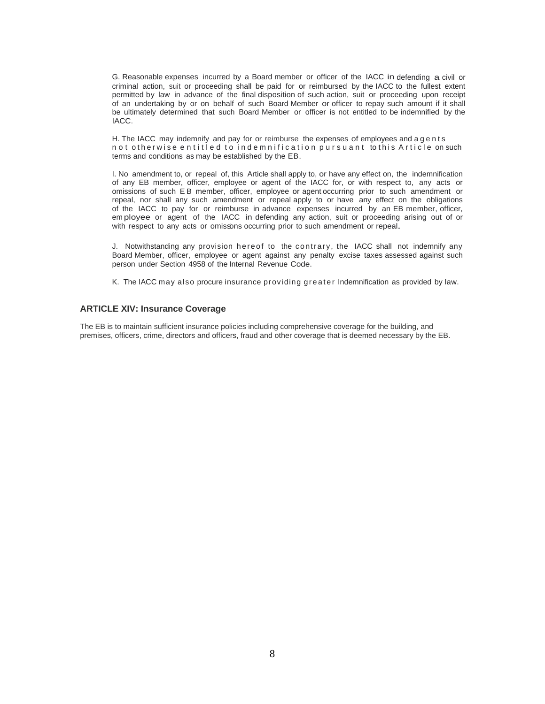G. Reasonable expenses incurred by a Board member or officer of the IACC in defending a civil or criminal action, suit or proceeding shall be paid for or reimbursed by the IACC to the fullest extent permitted by law in advance of the final disposition of such action, suit or proceeding upon receipt of an undertaking by or on behalf of such Board Member or officer to repay such amount if it shall be ultimately determined that such Board Member or officer is not entitled to be indemnified by the IACC.

H. The IACC may indemnify and pay for or reimburse the expenses of employees and a g e n t s n o t o the rwise entitled to indemnification pursuant to this Article on such terms and conditions as may be established by the EB.

I. No amendment to, or repeal of, this Article shall apply to, or have any effect on, the indemnification of any EB member, officer, employee or agent of the IACC for, or with respect to, any acts or omissions of such E B member, officer, employee or agent occurring prior to such amendment or repeal, nor shall any such amendment or repeal apply to or have any effect on the obligations of the IACC to pay for or reimburse in advance expenses incurred by an EB member, officer, em ployee or agent of the IACC in defending any action, suit or proceeding arising out of or with respect to any acts or omissions occurring prior to such amendment or repeal.

J. Notwithstanding any provision hereof to the contrary, the IACC shall not indemnify any Board Member, officer, employee or agent against any penalty excise taxes assessed against such person under Section 4958 of the Internal Revenue Code.

K. The IACC may also procure insurance providing greater Indemnification as provided by law.

### **ARTICLE XIV: Insurance Coverage**

The EB is to maintain sufficient insurance policies including comprehensive coverage for the building, and premises, officers, crime, directors and officers, fraud and other coverage that is deemed necessary by the EB.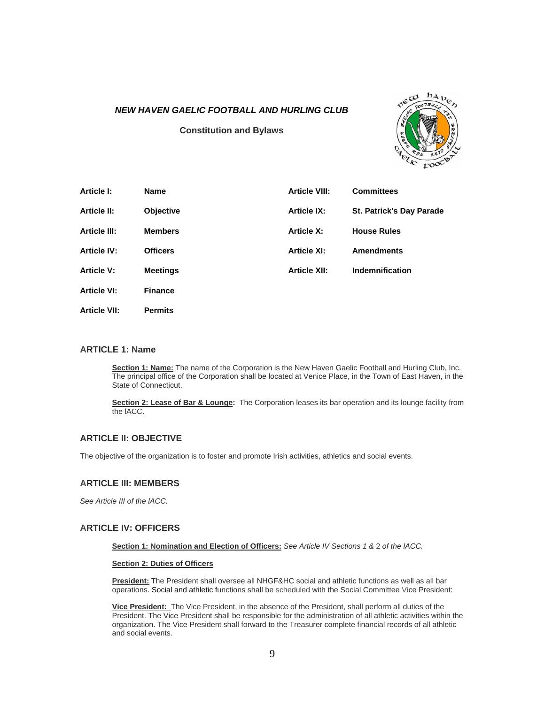## *NEW HAVEN GAELIC FOOTBALL AND HURLING CLUB*

**Constitution and Bylaws** 



| Article I:          | <b>Name</b>     | <b>Article VIII:</b> | <b>Committees</b>               |
|---------------------|-----------------|----------------------|---------------------------------|
| <b>Article II:</b>  | Objective       | <b>Article IX:</b>   | <b>St. Patrick's Day Parade</b> |
| <b>Article III:</b> | <b>Members</b>  | <b>Article X:</b>    | <b>House Rules</b>              |
| <b>Article IV:</b>  | <b>Officers</b> | <b>Article XI:</b>   | <b>Amendments</b>               |
| <b>Article V:</b>   | <b>Meetings</b> | <b>Article XII:</b>  | Indemnification                 |
| <b>Article VI:</b>  | <b>Finance</b>  |                      |                                 |
| <b>Article VII:</b> | <b>Permits</b>  |                      |                                 |

#### **ARTICLE 1: Name**

**Section 1: Name:** The name of the Corporation is the New Haven Gaelic Football and Hurling Club, Inc. The principal office of the Corporation shall be located at Venice Place, in the Town of East Haven, in the State of Connecticut.

**Section 2: Lease of Bar & Lounge:** The Corporation leases its bar operation and its lounge facility from the lACC.

# **ARTICLE II: OBJECTIVE**

The objective of the organization is to foster and promote Irish activities, athletics and social events.

### **ARTICLE III: MEMBERS**

*See Article III of the lACC.* 

## **ARTICLE IV: OFFICERS**

**Section 1: Nomination and Election of Officers:** *See Article IV Sections 1 &* 2 *of the lACC.* 

#### **Section 2: Duties of Officers**

**President:** The President shall oversee all NHGF&HC social and athletic functions as well as all bar operations. Social and athletic functions shall be scheduled with the Social Committee Vice President:

**Vice President:** The Vice President, in the absence of the President, shall perform all duties of the President. The Vice President shall be responsible for the administration of all athletic activities within the organization. The Vice President shall forward to the Treasurer complete financial records of all athletic and social events.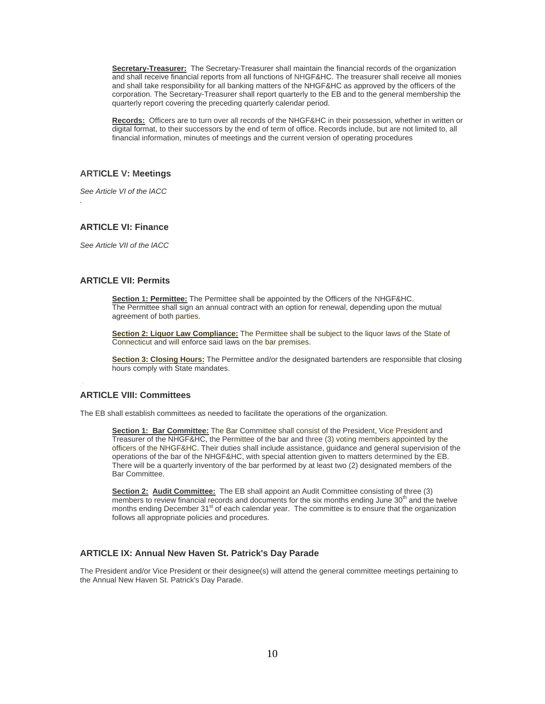**Secretary-Treasurer:** The Secretary-Treasurer shall maintain the financial records of the organization and shall receive financial reports from all functions of NHGF&HC. The treasurer shall receive all monies and shall take responsibility for all banking matters of the NHGF&HC as approved by the officers of the corporation. The Secretary-Treasurer shall report quarterly to the EB and to the general membership the quarterly report covering the preceding quarterly calendar period.

**Records:** Officers are to turn over all records of the NHGF&HC in their possession, whether in written or digital format, to their successors by the end of term of office. Records include, but are not limited to, all financial information, minutes of meetings and the current version of operating procedures

## **ARTICLE V: Meetings**

*See Article VI of the lACC* 

*.* 

## **ARTICLE VI: Finance**

*See Article VII of the lACC* 

# **ARTICLE VII: Permits**

**Section 1: Permittee:** The Permittee shall be appointed by the Officers of the NHGF&HC. The Permittee shall sign an annual contract with an option for renewal, depending upon the mutual agreement of both parties.

**Section 2: Liquor Law Compliance:** The Permittee shall be subject to the liquor laws of the State of Connecticut and will enforce said laws on the bar premises.

**Section 3: Closing Hours:** The Permittee and/or the designated bartenders are responsible that closing hours comply with State mandates.

## **ARTICLE VIII: Committees**

The EB shall establish committees as needed to facilitate the operations of the organization.

**Section 1: Bar Committee:** The Bar Committee shall consist of the President, Vice President and Treasurer of the NHGF&HC, the Permittee of the bar and three (3) voting members appointed by the officers of the NHGF&HC. Their duties shall include assistance, guidance and general supervision of the operations of the bar of the NHGF&HC, with special attention given to matters determined by the EB. There will be a quarterly inventory of the bar performed by at least two (2) designated members of the Bar Committee.

**Section 2: Audit Committee:** The EB shall appoint an Audit Committee consisting of three (3) members to review financial records and documents for the six months ending June 30<sup>th</sup> and the twelve months ending December 31<sup>st</sup> of each calendar year. The committee is to ensure that the organization follows all appropriate policies and procedures.

# **ARTICLE IX: Annual New Haven St. Patrick's Day Parade**

The President and/or Vice President or their designee(s) will attend the general committee meetings pertaining to the Annual New Haven St. Patrick's Day Parade.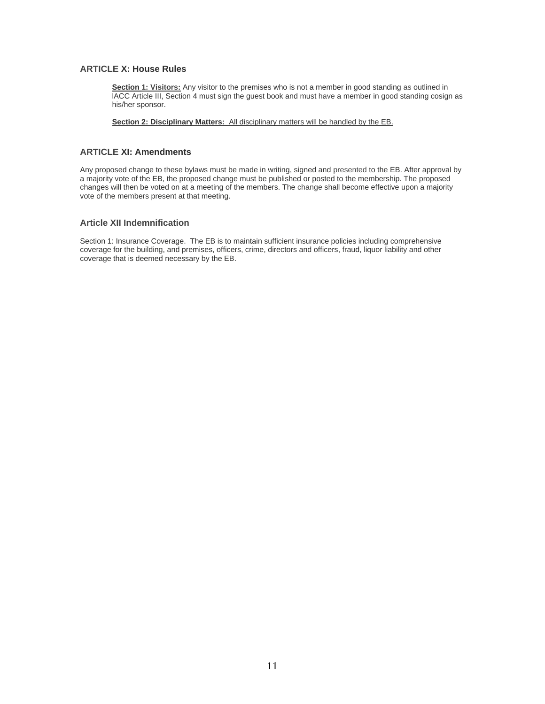# **ARTICLE X: House Rules**

**Section 1: Visitors:** Any visitor to the premises who is not a member in good standing as outlined in lACC Article III, Section 4 must sign the guest book and must have a member in good standing cosign as his/her sponsor.

**Section 2: Disciplinary Matters:** All disciplinary matters will be handled by the EB.

## **ARTICLE XI: Amendments**

Any proposed change to these bylaws must be made in writing, signed and presented to the EB. After approval by a majority vote of the EB, the proposed change must be published or posted to the membership. The proposed changes will then be voted on at a meeting of the members. The change shall become effective upon a majority vote of the members present at that meeting.

## **Article XII Indemnification**

Section 1: Insurance Coverage. The EB is to maintain sufficient insurance policies including comprehensive coverage for the building, and premises, officers, crime, directors and officers, fraud, liquor liability and other coverage that is deemed necessary by the EB.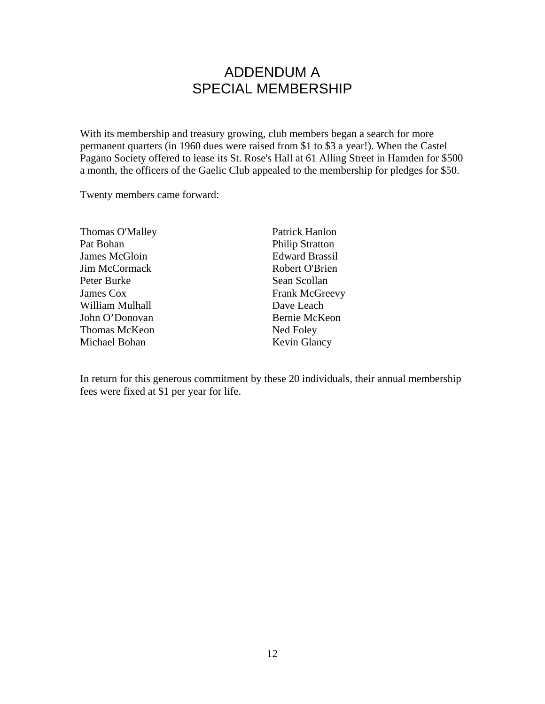# ADDENDUM A SPECIAL MEMBERSHIP

With its membership and treasury growing, club members began a search for more permanent quarters (in 1960 dues were raised from \$1 to \$3 a year!). When the Castel Pagano Society offered to lease its St. Rose's Hall at 61 Alling Street in Hamden for \$500 a month, the officers of the Gaelic Club appealed to the membership for pledges for \$50.

Twenty members came forward:

| Thomas O'Malley      | Patrick Hanlon         |
|----------------------|------------------------|
| Pat Bohan            | <b>Philip Stratton</b> |
| James McGloin        | <b>Edward Brassil</b>  |
| Jim McCormack        | Robert O'Brien         |
| Peter Burke          | Sean Scollan           |
| James Cox            | <b>Frank McGreevy</b>  |
| William Mulhall      | Dave Leach             |
| John O'Donovan       | Bernie McKeon          |
| <b>Thomas McKeon</b> | Ned Foley              |
| Michael Bohan        | Kevin Glancy           |
|                      |                        |

In return for this generous commitment by these 20 individuals, their annual membership fees were fixed at \$1 per year for life.